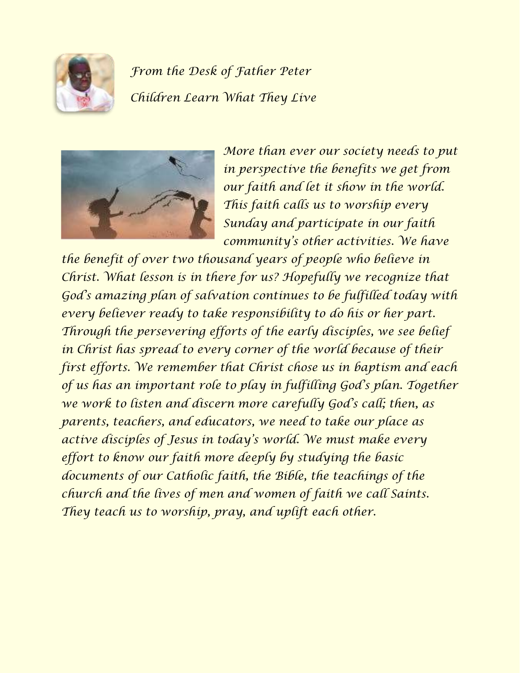

*From the Desk of Father Peter Children Learn What They Live*



*More than ever our society needs to put in perspective the benefits we get from our faith and let it show in the world. This faith calls us to worship every Sunday and participate in our faith community's other activities. We have* 

*the benefit of over two thousand years of people who believe in Christ. What lesson is in there for us? Hopefully we recognize that God's amazing plan of salvation continues to be fulfilled today with every believer ready to take responsibility to do his or her part. Through the persevering efforts of the early disciples, we see belief in Christ has spread to every corner of the world because of their first efforts. We remember that Christ chose us in baptism and each of us has an important role to play in fulfilling God's plan. Together we work to listen and discern more carefully God's call; then, as parents, teachers, and educators, we need to take our place as active disciples of Jesus in today's world. We must make every effort to know our faith more deeply by studying the basic documents of our Catholic faith, the Bible, the teachings of the church and the lives of men and women of faith we call Saints. They teach us to worship, pray, and uplift each other.*